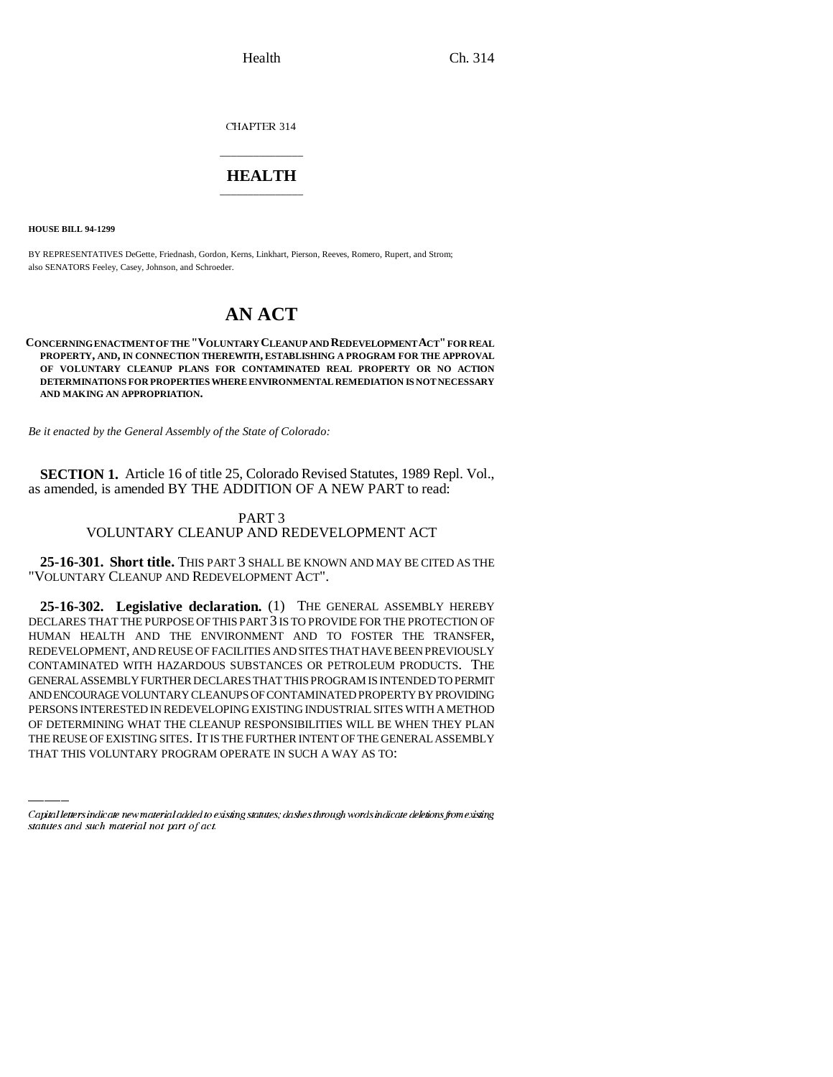CHAPTER 314

## \_\_\_\_\_\_\_\_\_\_\_\_\_\_\_ **HEALTH** \_\_\_\_\_\_\_\_\_\_\_\_\_\_\_

**HOUSE BILL 94-1299**

BY REPRESENTATIVES DeGette, Friednash, Gordon, Kerns, Linkhart, Pierson, Reeves, Romero, Rupert, and Strom; also SENATORS Feeley, Casey, Johnson, and Schroeder.

# **AN ACT**

### **CONCERNING ENACTMENT OF THE "VOLUNTARY CLEANUP AND REDEVELOPMENT ACT" FOR REAL PROPERTY, AND, IN CONNECTION THEREWITH, ESTABLISHING A PROGRAM FOR THE APPROVAL OF VOLUNTARY CLEANUP PLANS FOR CONTAMINATED REAL PROPERTY OR NO ACTION DETERMINATIONS FOR PROPERTIES WHERE ENVIRONMENTAL REMEDIATION IS NOT NECESSARY AND MAKING AN APPROPRIATION.**

*Be it enacted by the General Assembly of the State of Colorado:*

**SECTION 1.** Article 16 of title 25, Colorado Revised Statutes, 1989 Repl. Vol., as amended, is amended BY THE ADDITION OF A NEW PART to read:

### PART 3 VOLUNTARY CLEANUP AND REDEVELOPMENT ACT

**25-16-301. Short title.** THIS PART 3 SHALL BE KNOWN AND MAY BE CITED AS THE "VOLUNTARY CLEANUP AND REDEVELOPMENT ACT".

AND ENCOURAGE VOLUNTARY CLEANUPS OF CONTAMINATED PROPERTY BY PROVIDING **25-16-302. Legislative declaration.** (1) THE GENERAL ASSEMBLY HEREBY DECLARES THAT THE PURPOSE OF THIS PART 3 IS TO PROVIDE FOR THE PROTECTION OF HUMAN HEALTH AND THE ENVIRONMENT AND TO FOSTER THE TRANSFER, REDEVELOPMENT, AND REUSE OF FACILITIES AND SITES THAT HAVE BEEN PREVIOUSLY CONTAMINATED WITH HAZARDOUS SUBSTANCES OR PETROLEUM PRODUCTS. THE GENERAL ASSEMBLY FURTHER DECLARES THAT THIS PROGRAM IS INTENDED TO PERMIT PERSONS INTERESTED IN REDEVELOPING EXISTING INDUSTRIAL SITES WITH A METHOD OF DETERMINING WHAT THE CLEANUP RESPONSIBILITIES WILL BE WHEN THEY PLAN THE REUSE OF EXISTING SITES. IT IS THE FURTHER INTENT OF THE GENERAL ASSEMBLY THAT THIS VOLUNTARY PROGRAM OPERATE IN SUCH A WAY AS TO:

Capital letters indicate new material added to existing statutes; dashes through words indicate deletions from existing statutes and such material not part of act.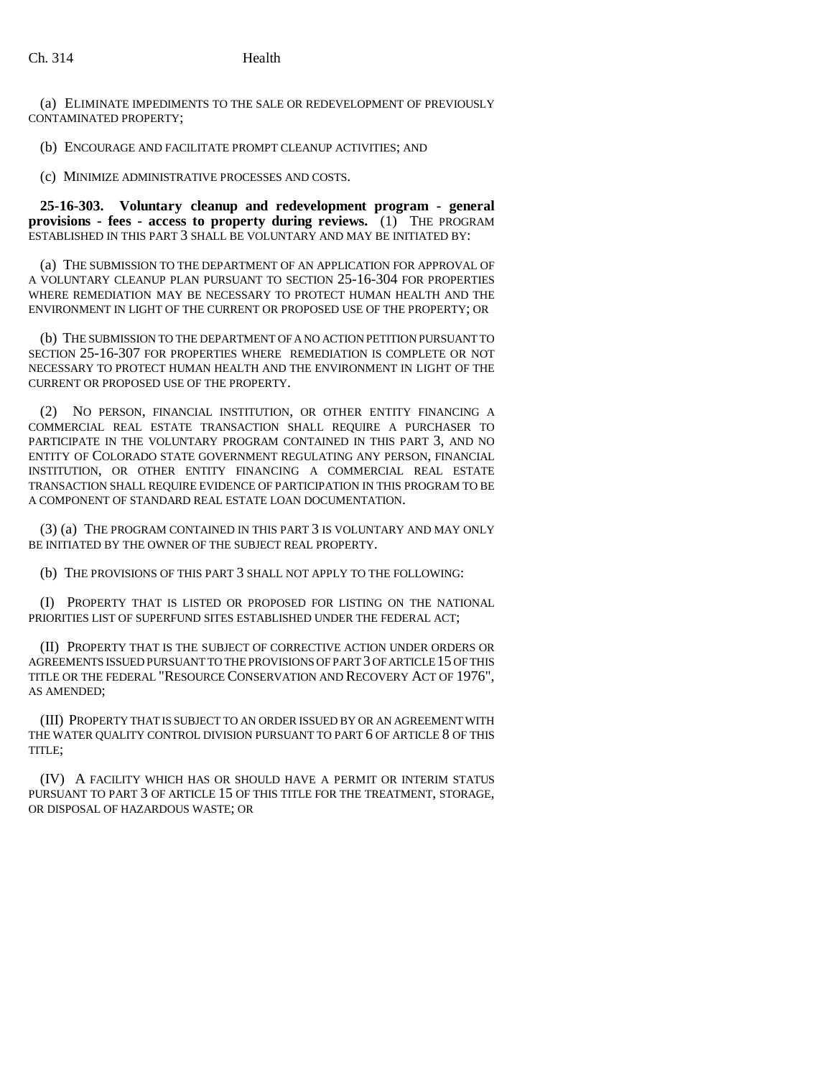(a) ELIMINATE IMPEDIMENTS TO THE SALE OR REDEVELOPMENT OF PREVIOUSLY CONTAMINATED PROPERTY;

(b) ENCOURAGE AND FACILITATE PROMPT CLEANUP ACTIVITIES; AND

(c) MINIMIZE ADMINISTRATIVE PROCESSES AND COSTS.

**25-16-303. Voluntary cleanup and redevelopment program - general provisions - fees - access to property during reviews.** (1) THE PROGRAM ESTABLISHED IN THIS PART 3 SHALL BE VOLUNTARY AND MAY BE INITIATED BY:

(a) THE SUBMISSION TO THE DEPARTMENT OF AN APPLICATION FOR APPROVAL OF A VOLUNTARY CLEANUP PLAN PURSUANT TO SECTION 25-16-304 FOR PROPERTIES WHERE REMEDIATION MAY BE NECESSARY TO PROTECT HUMAN HEALTH AND THE ENVIRONMENT IN LIGHT OF THE CURRENT OR PROPOSED USE OF THE PROPERTY; OR

(b) THE SUBMISSION TO THE DEPARTMENT OF A NO ACTION PETITION PURSUANT TO SECTION 25-16-307 FOR PROPERTIES WHERE REMEDIATION IS COMPLETE OR NOT NECESSARY TO PROTECT HUMAN HEALTH AND THE ENVIRONMENT IN LIGHT OF THE CURRENT OR PROPOSED USE OF THE PROPERTY.

(2) NO PERSON, FINANCIAL INSTITUTION, OR OTHER ENTITY FINANCING A COMMERCIAL REAL ESTATE TRANSACTION SHALL REQUIRE A PURCHASER TO PARTICIPATE IN THE VOLUNTARY PROGRAM CONTAINED IN THIS PART 3, AND NO ENTITY OF COLORADO STATE GOVERNMENT REGULATING ANY PERSON, FINANCIAL INSTITUTION, OR OTHER ENTITY FINANCING A COMMERCIAL REAL ESTATE TRANSACTION SHALL REQUIRE EVIDENCE OF PARTICIPATION IN THIS PROGRAM TO BE A COMPONENT OF STANDARD REAL ESTATE LOAN DOCUMENTATION.

(3) (a) THE PROGRAM CONTAINED IN THIS PART 3 IS VOLUNTARY AND MAY ONLY BE INITIATED BY THE OWNER OF THE SUBJECT REAL PROPERTY.

(b) THE PROVISIONS OF THIS PART 3 SHALL NOT APPLY TO THE FOLLOWING:

(I) PROPERTY THAT IS LISTED OR PROPOSED FOR LISTING ON THE NATIONAL PRIORITIES LIST OF SUPERFUND SITES ESTABLISHED UNDER THE FEDERAL ACT;

(II) PROPERTY THAT IS THE SUBJECT OF CORRECTIVE ACTION UNDER ORDERS OR AGREEMENTS ISSUED PURSUANT TO THE PROVISIONS OF PART 3 OF ARTICLE 15 OF THIS TITLE OR THE FEDERAL "RESOURCE CONSERVATION AND RECOVERY ACT OF 1976", AS AMENDED;

(III) PROPERTY THAT IS SUBJECT TO AN ORDER ISSUED BY OR AN AGREEMENT WITH THE WATER QUALITY CONTROL DIVISION PURSUANT TO PART 6 OF ARTICLE 8 OF THIS TITLE;

(IV) A FACILITY WHICH HAS OR SHOULD HAVE A PERMIT OR INTERIM STATUS PURSUANT TO PART 3 OF ARTICLE 15 OF THIS TITLE FOR THE TREATMENT, STORAGE, OR DISPOSAL OF HAZARDOUS WASTE; OR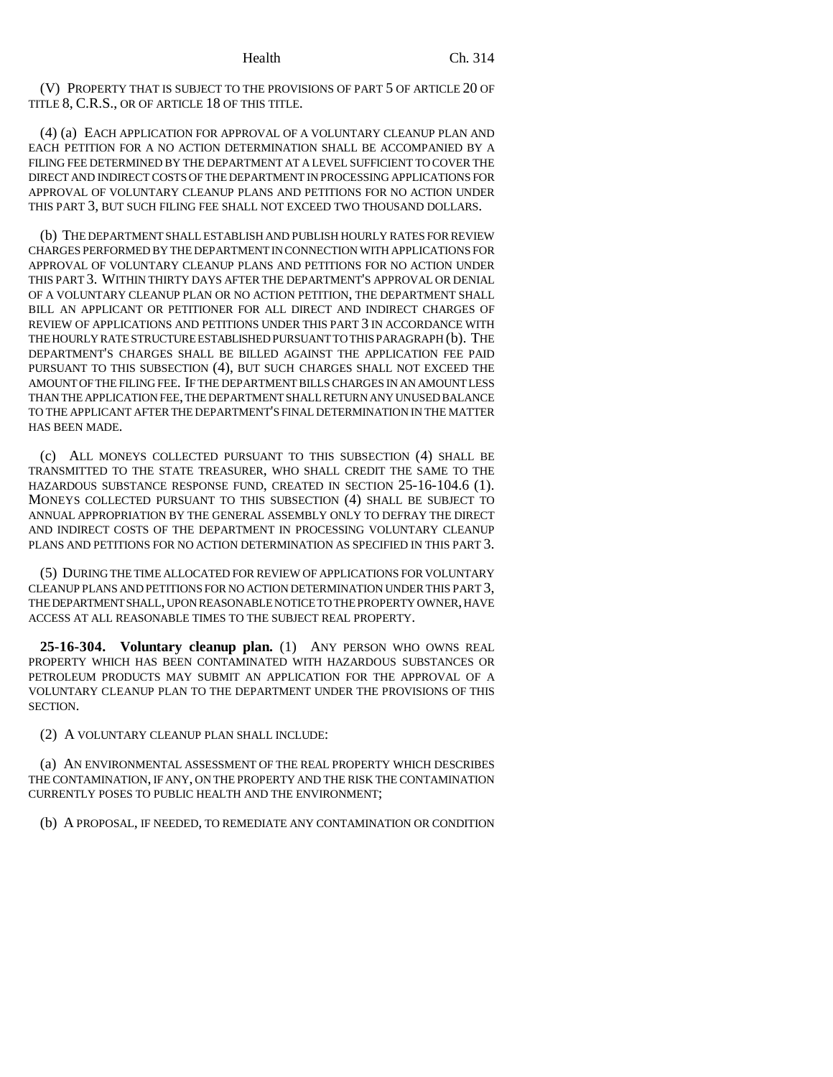(V) PROPERTY THAT IS SUBJECT TO THE PROVISIONS OF PART 5 OF ARTICLE 20 OF TITLE 8, C.R.S., OR OF ARTICLE 18 OF THIS TITLE.

(4) (a) EACH APPLICATION FOR APPROVAL OF A VOLUNTARY CLEANUP PLAN AND EACH PETITION FOR A NO ACTION DETERMINATION SHALL BE ACCOMPANIED BY A FILING FEE DETERMINED BY THE DEPARTMENT AT A LEVEL SUFFICIENT TO COVER THE DIRECT AND INDIRECT COSTS OF THE DEPARTMENT IN PROCESSING APPLICATIONS FOR APPROVAL OF VOLUNTARY CLEANUP PLANS AND PETITIONS FOR NO ACTION UNDER THIS PART 3, BUT SUCH FILING FEE SHALL NOT EXCEED TWO THOUSAND DOLLARS.

(b) THE DEPARTMENT SHALL ESTABLISH AND PUBLISH HOURLY RATES FOR REVIEW CHARGES PERFORMED BY THE DEPARTMENT IN CONNECTION WITH APPLICATIONS FOR APPROVAL OF VOLUNTARY CLEANUP PLANS AND PETITIONS FOR NO ACTION UNDER THIS PART 3. WITHIN THIRTY DAYS AFTER THE DEPARTMENT'S APPROVAL OR DENIAL OF A VOLUNTARY CLEANUP PLAN OR NO ACTION PETITION, THE DEPARTMENT SHALL BILL AN APPLICANT OR PETITIONER FOR ALL DIRECT AND INDIRECT CHARGES OF REVIEW OF APPLICATIONS AND PETITIONS UNDER THIS PART 3 IN ACCORDANCE WITH THE HOURLY RATE STRUCTURE ESTABLISHED PURSUANT TO THIS PARAGRAPH (b). THE DEPARTMENT'S CHARGES SHALL BE BILLED AGAINST THE APPLICATION FEE PAID PURSUANT TO THIS SUBSECTION (4), BUT SUCH CHARGES SHALL NOT EXCEED THE AMOUNT OF THE FILING FEE. IF THE DEPARTMENT BILLS CHARGES IN AN AMOUNT LESS THAN THE APPLICATION FEE, THE DEPARTMENT SHALL RETURN ANY UNUSED BALANCE TO THE APPLICANT AFTER THE DEPARTMENT'S FINAL DETERMINATION IN THE MATTER HAS BEEN MADE.

(c) ALL MONEYS COLLECTED PURSUANT TO THIS SUBSECTION (4) SHALL BE TRANSMITTED TO THE STATE TREASURER, WHO SHALL CREDIT THE SAME TO THE HAZARDOUS SUBSTANCE RESPONSE FUND, CREATED IN SECTION 25-16-104.6 (1). MONEYS COLLECTED PURSUANT TO THIS SUBSECTION (4) SHALL BE SUBJECT TO ANNUAL APPROPRIATION BY THE GENERAL ASSEMBLY ONLY TO DEFRAY THE DIRECT AND INDIRECT COSTS OF THE DEPARTMENT IN PROCESSING VOLUNTARY CLEANUP PLANS AND PETITIONS FOR NO ACTION DETERMINATION AS SPECIFIED IN THIS PART 3.

(5) DURING THE TIME ALLOCATED FOR REVIEW OF APPLICATIONS FOR VOLUNTARY CLEANUP PLANS AND PETITIONS FOR NO ACTION DETERMINATION UNDER THIS PART 3, THE DEPARTMENT SHALL, UPON REASONABLE NOTICE TO THE PROPERTY OWNER, HAVE ACCESS AT ALL REASONABLE TIMES TO THE SUBJECT REAL PROPERTY.

**25-16-304. Voluntary cleanup plan.** (1) ANY PERSON WHO OWNS REAL PROPERTY WHICH HAS BEEN CONTAMINATED WITH HAZARDOUS SUBSTANCES OR PETROLEUM PRODUCTS MAY SUBMIT AN APPLICATION FOR THE APPROVAL OF A VOLUNTARY CLEANUP PLAN TO THE DEPARTMENT UNDER THE PROVISIONS OF THIS SECTION.

(2) A VOLUNTARY CLEANUP PLAN SHALL INCLUDE:

(a) AN ENVIRONMENTAL ASSESSMENT OF THE REAL PROPERTY WHICH DESCRIBES THE CONTAMINATION, IF ANY, ON THE PROPERTY AND THE RISK THE CONTAMINATION CURRENTLY POSES TO PUBLIC HEALTH AND THE ENVIRONMENT;

(b) A PROPOSAL, IF NEEDED, TO REMEDIATE ANY CONTAMINATION OR CONDITION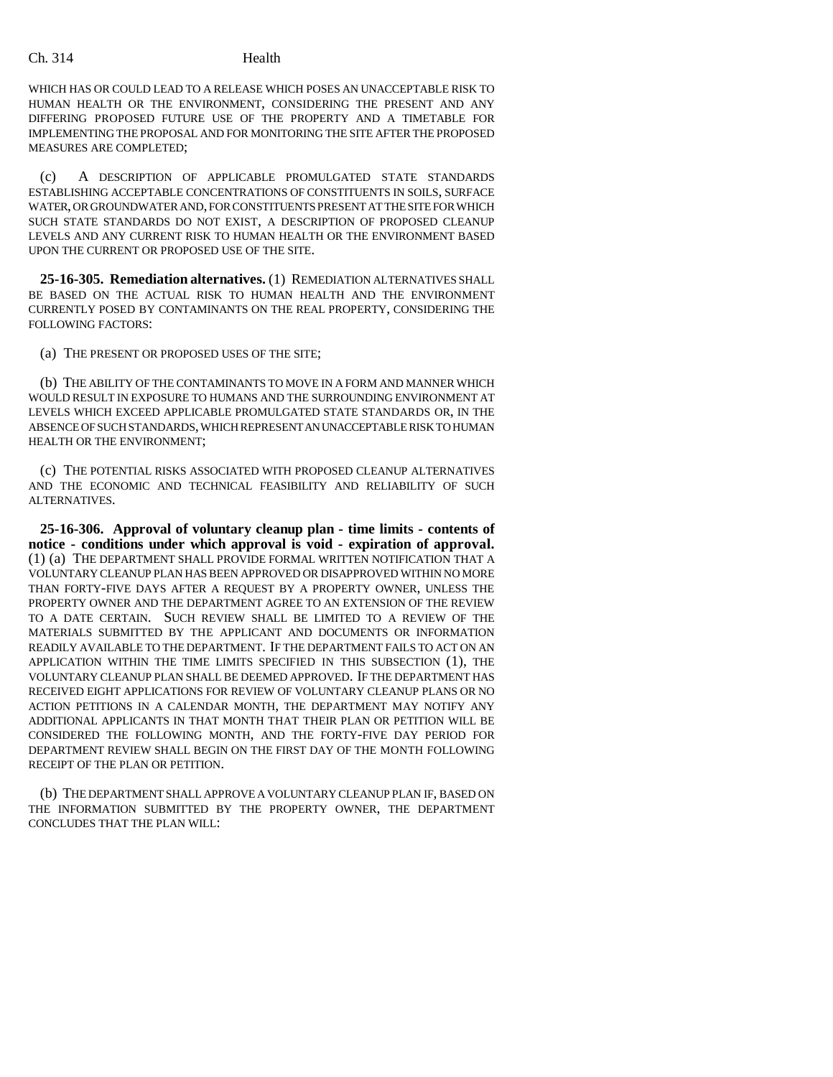Ch. 314 Health

WHICH HAS OR COULD LEAD TO A RELEASE WHICH POSES AN UNACCEPTABLE RISK TO HUMAN HEALTH OR THE ENVIRONMENT, CONSIDERING THE PRESENT AND ANY DIFFERING PROPOSED FUTURE USE OF THE PROPERTY AND A TIMETABLE FOR IMPLEMENTING THE PROPOSAL AND FOR MONITORING THE SITE AFTER THE PROPOSED MEASURES ARE COMPLETED;

(c) A DESCRIPTION OF APPLICABLE PROMULGATED STATE STANDARDS ESTABLISHING ACCEPTABLE CONCENTRATIONS OF CONSTITUENTS IN SOILS, SURFACE WATER, OR GROUNDWATER AND, FOR CONSTITUENTS PRESENT AT THE SITE FOR WHICH SUCH STATE STANDARDS DO NOT EXIST, A DESCRIPTION OF PROPOSED CLEANUP LEVELS AND ANY CURRENT RISK TO HUMAN HEALTH OR THE ENVIRONMENT BASED UPON THE CURRENT OR PROPOSED USE OF THE SITE.

**25-16-305. Remediation alternatives.** (1) REMEDIATION ALTERNATIVES SHALL BE BASED ON THE ACTUAL RISK TO HUMAN HEALTH AND THE ENVIRONMENT CURRENTLY POSED BY CONTAMINANTS ON THE REAL PROPERTY, CONSIDERING THE FOLLOWING FACTORS:

(a) THE PRESENT OR PROPOSED USES OF THE SITE;

(b) THE ABILITY OF THE CONTAMINANTS TO MOVE IN A FORM AND MANNER WHICH WOULD RESULT IN EXPOSURE TO HUMANS AND THE SURROUNDING ENVIRONMENT AT LEVELS WHICH EXCEED APPLICABLE PROMULGATED STATE STANDARDS OR, IN THE ABSENCE OF SUCH STANDARDS, WHICH REPRESENT AN UNACCEPTABLE RISK TO HUMAN HEALTH OR THE ENVIRONMENT;

(c) THE POTENTIAL RISKS ASSOCIATED WITH PROPOSED CLEANUP ALTERNATIVES AND THE ECONOMIC AND TECHNICAL FEASIBILITY AND RELIABILITY OF SUCH ALTERNATIVES.

**25-16-306. Approval of voluntary cleanup plan - time limits - contents of notice - conditions under which approval is void - expiration of approval.** (1) (a) THE DEPARTMENT SHALL PROVIDE FORMAL WRITTEN NOTIFICATION THAT A VOLUNTARY CLEANUP PLAN HAS BEEN APPROVED OR DISAPPROVED WITHIN NO MORE THAN FORTY-FIVE DAYS AFTER A REQUEST BY A PROPERTY OWNER, UNLESS THE PROPERTY OWNER AND THE DEPARTMENT AGREE TO AN EXTENSION OF THE REVIEW TO A DATE CERTAIN. SUCH REVIEW SHALL BE LIMITED TO A REVIEW OF THE MATERIALS SUBMITTED BY THE APPLICANT AND DOCUMENTS OR INFORMATION READILY AVAILABLE TO THE DEPARTMENT. IF THE DEPARTMENT FAILS TO ACT ON AN APPLICATION WITHIN THE TIME LIMITS SPECIFIED IN THIS SUBSECTION (1), THE VOLUNTARY CLEANUP PLAN SHALL BE DEEMED APPROVED. IF THE DEPARTMENT HAS RECEIVED EIGHT APPLICATIONS FOR REVIEW OF VOLUNTARY CLEANUP PLANS OR NO ACTION PETITIONS IN A CALENDAR MONTH, THE DEPARTMENT MAY NOTIFY ANY ADDITIONAL APPLICANTS IN THAT MONTH THAT THEIR PLAN OR PETITION WILL BE CONSIDERED THE FOLLOWING MONTH, AND THE FORTY-FIVE DAY PERIOD FOR DEPARTMENT REVIEW SHALL BEGIN ON THE FIRST DAY OF THE MONTH FOLLOWING RECEIPT OF THE PLAN OR PETITION.

(b) THE DEPARTMENT SHALL APPROVE A VOLUNTARY CLEANUP PLAN IF, BASED ON THE INFORMATION SUBMITTED BY THE PROPERTY OWNER, THE DEPARTMENT CONCLUDES THAT THE PLAN WILL: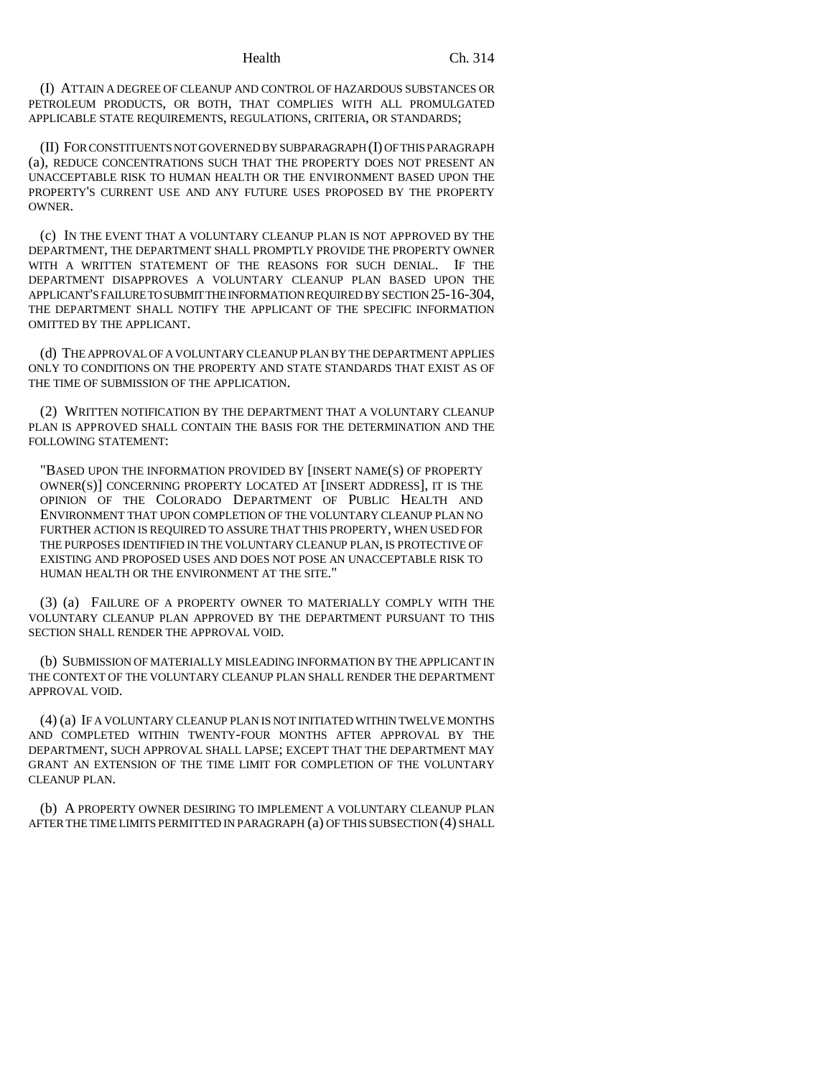(I) ATTAIN A DEGREE OF CLEANUP AND CONTROL OF HAZARDOUS SUBSTANCES OR PETROLEUM PRODUCTS, OR BOTH, THAT COMPLIES WITH ALL PROMULGATED APPLICABLE STATE REQUIREMENTS, REGULATIONS, CRITERIA, OR STANDARDS;

(II) FOR CONSTITUENTS NOT GOVERNED BY SUBPARAGRAPH (I) OF THIS PARAGRAPH (a), REDUCE CONCENTRATIONS SUCH THAT THE PROPERTY DOES NOT PRESENT AN UNACCEPTABLE RISK TO HUMAN HEALTH OR THE ENVIRONMENT BASED UPON THE PROPERTY'S CURRENT USE AND ANY FUTURE USES PROPOSED BY THE PROPERTY OWNER.

(c) IN THE EVENT THAT A VOLUNTARY CLEANUP PLAN IS NOT APPROVED BY THE DEPARTMENT, THE DEPARTMENT SHALL PROMPTLY PROVIDE THE PROPERTY OWNER WITH A WRITTEN STATEMENT OF THE REASONS FOR SUCH DENIAL. IF THE DEPARTMENT DISAPPROVES A VOLUNTARY CLEANUP PLAN BASED UPON THE APPLICANT'S FAILURE TO SUBMIT THE INFORMATION REQUIRED BY SECTION 25-16-304, THE DEPARTMENT SHALL NOTIFY THE APPLICANT OF THE SPECIFIC INFORMATION OMITTED BY THE APPLICANT.

(d) THE APPROVAL OF A VOLUNTARY CLEANUP PLAN BY THE DEPARTMENT APPLIES ONLY TO CONDITIONS ON THE PROPERTY AND STATE STANDARDS THAT EXIST AS OF THE TIME OF SUBMISSION OF THE APPLICATION.

(2) WRITTEN NOTIFICATION BY THE DEPARTMENT THAT A VOLUNTARY CLEANUP PLAN IS APPROVED SHALL CONTAIN THE BASIS FOR THE DETERMINATION AND THE FOLLOWING STATEMENT:

"BASED UPON THE INFORMATION PROVIDED BY [INSERT NAME(S) OF PROPERTY OWNER(S)] CONCERNING PROPERTY LOCATED AT [INSERT ADDRESS], IT IS THE OPINION OF THE COLORADO DEPARTMENT OF PUBLIC HEALTH AND ENVIRONMENT THAT UPON COMPLETION OF THE VOLUNTARY CLEANUP PLAN NO FURTHER ACTION IS REQUIRED TO ASSURE THAT THIS PROPERTY, WHEN USED FOR THE PURPOSES IDENTIFIED IN THE VOLUNTARY CLEANUP PLAN, IS PROTECTIVE OF EXISTING AND PROPOSED USES AND DOES NOT POSE AN UNACCEPTABLE RISK TO HUMAN HEALTH OR THE ENVIRONMENT AT THE SITE."

(3) (a) FAILURE OF A PROPERTY OWNER TO MATERIALLY COMPLY WITH THE VOLUNTARY CLEANUP PLAN APPROVED BY THE DEPARTMENT PURSUANT TO THIS SECTION SHALL RENDER THE APPROVAL VOID.

(b) SUBMISSION OF MATERIALLY MISLEADING INFORMATION BY THE APPLICANT IN THE CONTEXT OF THE VOLUNTARY CLEANUP PLAN SHALL RENDER THE DEPARTMENT APPROVAL VOID.

(4) (a) IF A VOLUNTARY CLEANUP PLAN IS NOT INITIATED WITHIN TWELVE MONTHS AND COMPLETED WITHIN TWENTY-FOUR MONTHS AFTER APPROVAL BY THE DEPARTMENT, SUCH APPROVAL SHALL LAPSE; EXCEPT THAT THE DEPARTMENT MAY GRANT AN EXTENSION OF THE TIME LIMIT FOR COMPLETION OF THE VOLUNTARY CLEANUP PLAN.

(b) A PROPERTY OWNER DESIRING TO IMPLEMENT A VOLUNTARY CLEANUP PLAN AFTER THE TIME LIMITS PERMITTED IN PARAGRAPH (a) OF THIS SUBSECTION (4) SHALL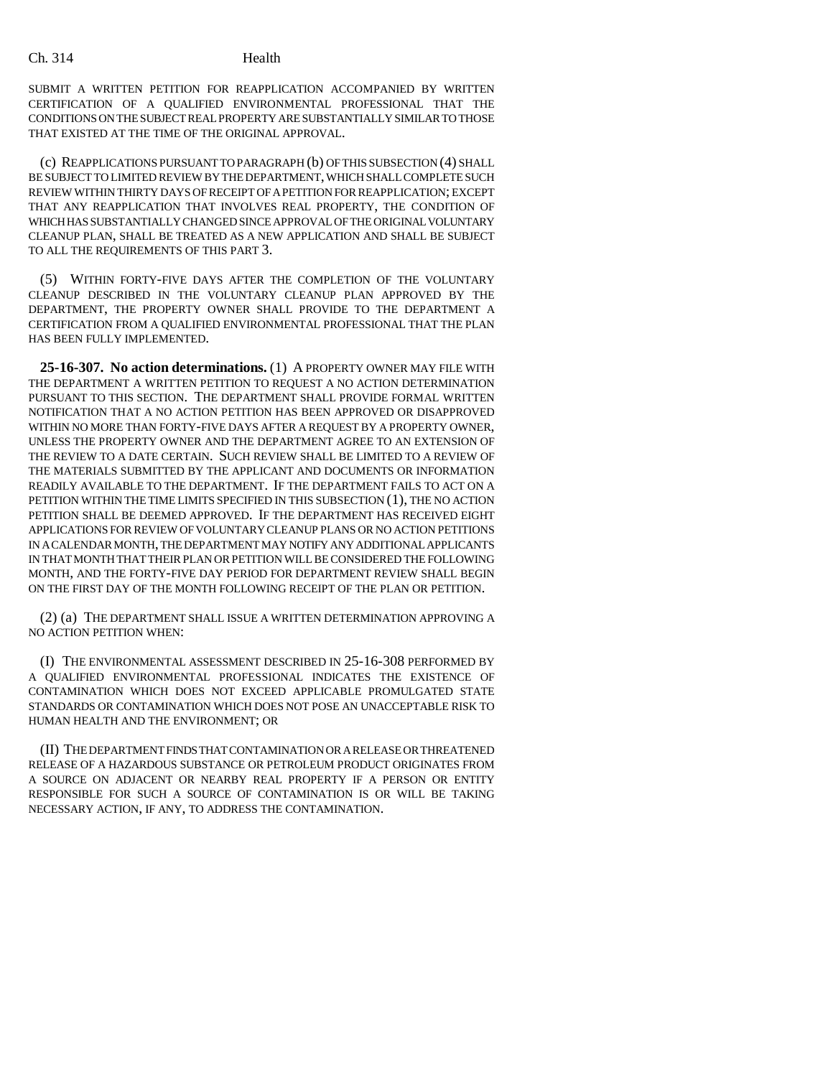SUBMIT A WRITTEN PETITION FOR REAPPLICATION ACCOMPANIED BY WRITTEN CERTIFICATION OF A QUALIFIED ENVIRONMENTAL PROFESSIONAL THAT THE CONDITIONS ON THE SUBJECT REAL PROPERTY ARE SUBSTANTIALLY SIMILAR TO THOSE THAT EXISTED AT THE TIME OF THE ORIGINAL APPROVAL.

(c) REAPPLICATIONS PURSUANT TO PARAGRAPH (b) OF THIS SUBSECTION (4) SHALL BE SUBJECT TO LIMITED REVIEW BY THE DEPARTMENT, WHICH SHALL COMPLETE SUCH REVIEW WITHIN THIRTY DAYS OF RECEIPT OF A PETITION FOR REAPPLICATION; EXCEPT THAT ANY REAPPLICATION THAT INVOLVES REAL PROPERTY, THE CONDITION OF WHICH HAS SUBSTANTIALLY CHANGED SINCE APPROVAL OF THE ORIGINAL VOLUNTARY CLEANUP PLAN, SHALL BE TREATED AS A NEW APPLICATION AND SHALL BE SUBJECT TO ALL THE REQUIREMENTS OF THIS PART 3.

(5) WITHIN FORTY-FIVE DAYS AFTER THE COMPLETION OF THE VOLUNTARY CLEANUP DESCRIBED IN THE VOLUNTARY CLEANUP PLAN APPROVED BY THE DEPARTMENT, THE PROPERTY OWNER SHALL PROVIDE TO THE DEPARTMENT A CERTIFICATION FROM A QUALIFIED ENVIRONMENTAL PROFESSIONAL THAT THE PLAN HAS BEEN FULLY IMPLEMENTED.

**25-16-307. No action determinations.** (1) A PROPERTY OWNER MAY FILE WITH THE DEPARTMENT A WRITTEN PETITION TO REQUEST A NO ACTION DETERMINATION PURSUANT TO THIS SECTION. THE DEPARTMENT SHALL PROVIDE FORMAL WRITTEN NOTIFICATION THAT A NO ACTION PETITION HAS BEEN APPROVED OR DISAPPROVED WITHIN NO MORE THAN FORTY-FIVE DAYS AFTER A REQUEST BY A PROPERTY OWNER, UNLESS THE PROPERTY OWNER AND THE DEPARTMENT AGREE TO AN EXTENSION OF THE REVIEW TO A DATE CERTAIN. SUCH REVIEW SHALL BE LIMITED TO A REVIEW OF THE MATERIALS SUBMITTED BY THE APPLICANT AND DOCUMENTS OR INFORMATION READILY AVAILABLE TO THE DEPARTMENT. IF THE DEPARTMENT FAILS TO ACT ON A PETITION WITHIN THE TIME LIMITS SPECIFIED IN THIS SUBSECTION (1), THE NO ACTION PETITION SHALL BE DEEMED APPROVED. IF THE DEPARTMENT HAS RECEIVED EIGHT APPLICATIONS FOR REVIEW OF VOLUNTARY CLEANUP PLANS OR NO ACTION PETITIONS IN A CALENDAR MONTH, THE DEPARTMENT MAY NOTIFY ANY ADDITIONAL APPLICANTS IN THAT MONTH THAT THEIR PLAN OR PETITION WILL BE CONSIDERED THE FOLLOWING MONTH, AND THE FORTY-FIVE DAY PERIOD FOR DEPARTMENT REVIEW SHALL BEGIN ON THE FIRST DAY OF THE MONTH FOLLOWING RECEIPT OF THE PLAN OR PETITION.

(2) (a) THE DEPARTMENT SHALL ISSUE A WRITTEN DETERMINATION APPROVING A NO ACTION PETITION WHEN:

(I) THE ENVIRONMENTAL ASSESSMENT DESCRIBED IN 25-16-308 PERFORMED BY A QUALIFIED ENVIRONMENTAL PROFESSIONAL INDICATES THE EXISTENCE OF CONTAMINATION WHICH DOES NOT EXCEED APPLICABLE PROMULGATED STATE STANDARDS OR CONTAMINATION WHICH DOES NOT POSE AN UNACCEPTABLE RISK TO HUMAN HEALTH AND THE ENVIRONMENT; OR

(II) THE DEPARTMENT FINDS THAT CONTAMINATION OR A RELEASE OR THREATENED RELEASE OF A HAZARDOUS SUBSTANCE OR PETROLEUM PRODUCT ORIGINATES FROM A SOURCE ON ADJACENT OR NEARBY REAL PROPERTY IF A PERSON OR ENTITY RESPONSIBLE FOR SUCH A SOURCE OF CONTAMINATION IS OR WILL BE TAKING NECESSARY ACTION, IF ANY, TO ADDRESS THE CONTAMINATION.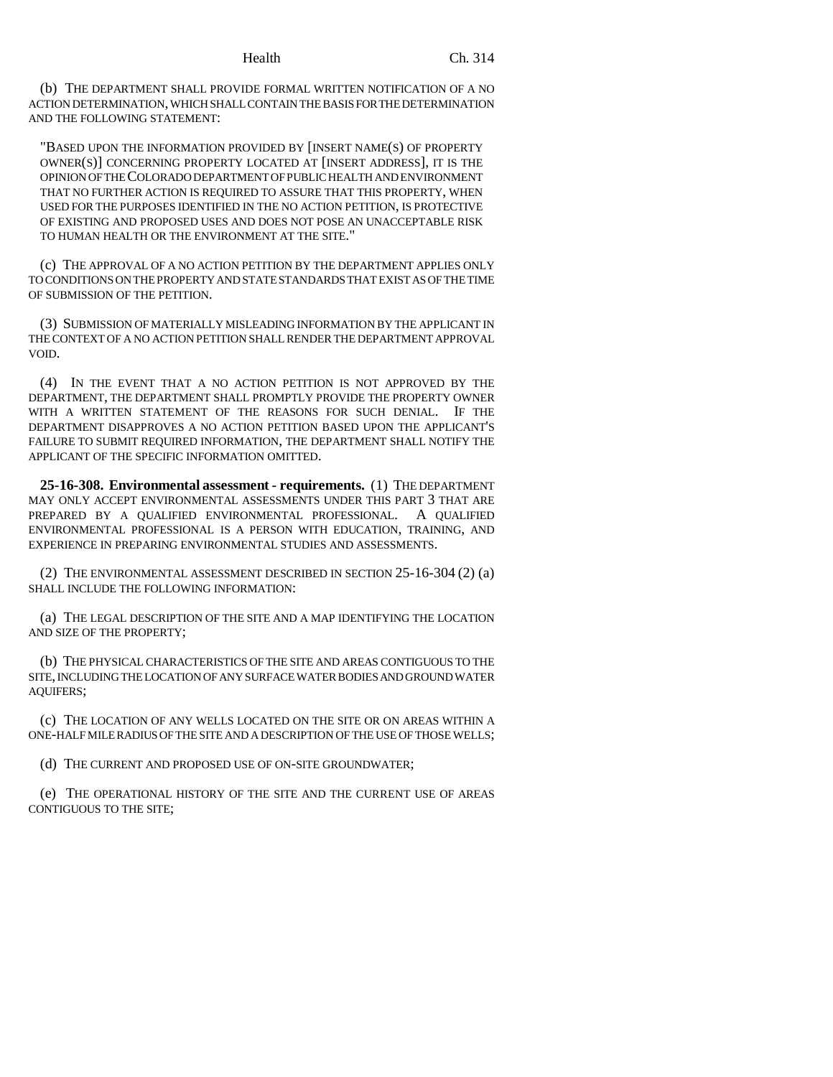(b) THE DEPARTMENT SHALL PROVIDE FORMAL WRITTEN NOTIFICATION OF A NO ACTION DETERMINATION, WHICH SHALL CONTAIN THE BASIS FOR THE DETERMINATION AND THE FOLLOWING STATEMENT:

"BASED UPON THE INFORMATION PROVIDED BY [INSERT NAME(S) OF PROPERTY OWNER(S)] CONCERNING PROPERTY LOCATED AT [INSERT ADDRESS], IT IS THE OPINION OF THE COLORADO DEPARTMENT OF PUBLIC HEALTH AND ENVIRONMENT THAT NO FURTHER ACTION IS REQUIRED TO ASSURE THAT THIS PROPERTY, WHEN USED FOR THE PURPOSES IDENTIFIED IN THE NO ACTION PETITION, IS PROTECTIVE OF EXISTING AND PROPOSED USES AND DOES NOT POSE AN UNACCEPTABLE RISK TO HUMAN HEALTH OR THE ENVIRONMENT AT THE SITE."

(c) THE APPROVAL OF A NO ACTION PETITION BY THE DEPARTMENT APPLIES ONLY TO CONDITIONS ON THE PROPERTY AND STATE STANDARDS THAT EXIST AS OF THE TIME OF SUBMISSION OF THE PETITION.

(3) SUBMISSION OF MATERIALLY MISLEADING INFORMATION BY THE APPLICANT IN THE CONTEXT OF A NO ACTION PETITION SHALL RENDER THE DEPARTMENT APPROVAL VOID.

(4) IN THE EVENT THAT A NO ACTION PETITION IS NOT APPROVED BY THE DEPARTMENT, THE DEPARTMENT SHALL PROMPTLY PROVIDE THE PROPERTY OWNER WITH A WRITTEN STATEMENT OF THE REASONS FOR SUCH DENIAL. IF THE DEPARTMENT DISAPPROVES A NO ACTION PETITION BASED UPON THE APPLICANT'S FAILURE TO SUBMIT REQUIRED INFORMATION, THE DEPARTMENT SHALL NOTIFY THE APPLICANT OF THE SPECIFIC INFORMATION OMITTED.

**25-16-308. Environmental assessment - requirements.** (1) THE DEPARTMENT MAY ONLY ACCEPT ENVIRONMENTAL ASSESSMENTS UNDER THIS PART 3 THAT ARE PREPARED BY A QUALIFIED ENVIRONMENTAL PROFESSIONAL. A QUALIFIED ENVIRONMENTAL PROFESSIONAL IS A PERSON WITH EDUCATION, TRAINING, AND EXPERIENCE IN PREPARING ENVIRONMENTAL STUDIES AND ASSESSMENTS.

(2) THE ENVIRONMENTAL ASSESSMENT DESCRIBED IN SECTION 25-16-304 (2) (a) SHALL INCLUDE THE FOLLOWING INFORMATION:

(a) THE LEGAL DESCRIPTION OF THE SITE AND A MAP IDENTIFYING THE LOCATION AND SIZE OF THE PROPERTY;

(b) THE PHYSICAL CHARACTERISTICS OF THE SITE AND AREAS CONTIGUOUS TO THE SITE, INCLUDING THE LOCATION OF ANY SURFACE WATER BODIES AND GROUND WATER AQUIFERS;

(c) THE LOCATION OF ANY WELLS LOCATED ON THE SITE OR ON AREAS WITHIN A ONE-HALF MILE RADIUS OF THE SITE AND A DESCRIPTION OF THE USE OF THOSE WELLS;

(d) THE CURRENT AND PROPOSED USE OF ON-SITE GROUNDWATER;

(e) THE OPERATIONAL HISTORY OF THE SITE AND THE CURRENT USE OF AREAS CONTIGUOUS TO THE SITE;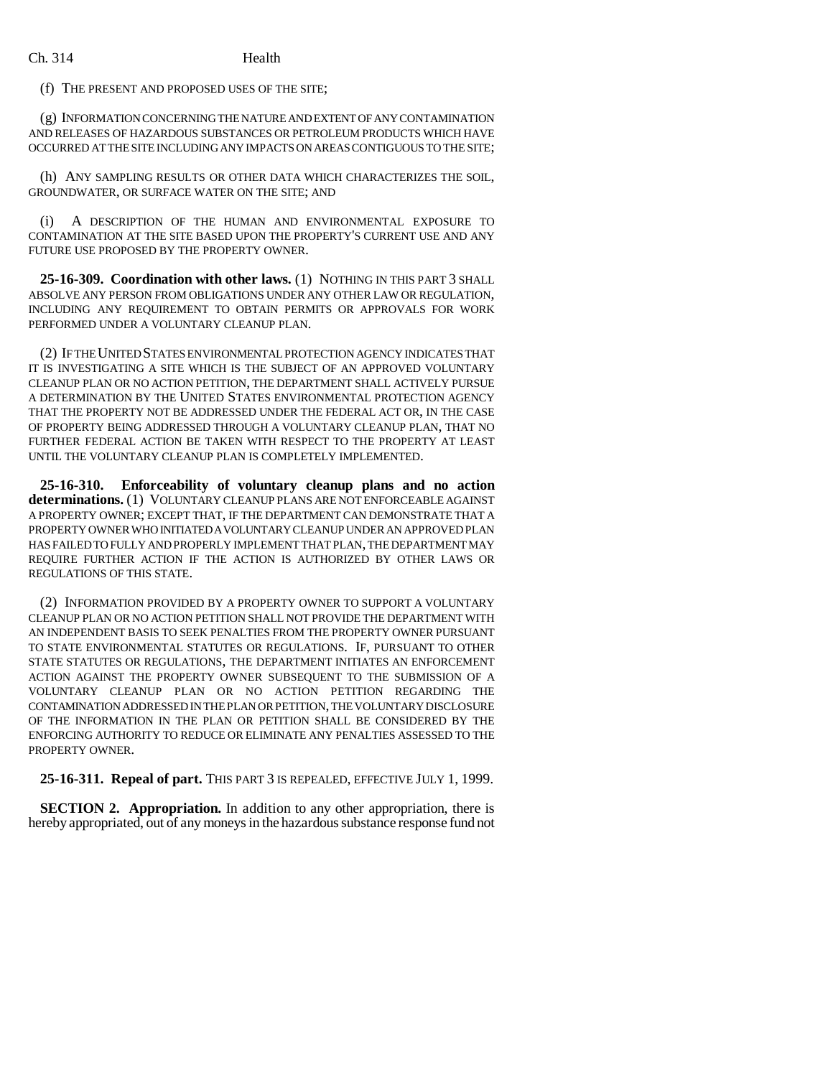(f) THE PRESENT AND PROPOSED USES OF THE SITE;

(g) INFORMATION CONCERNING THE NATURE AND EXTENT OF ANY CONTAMINATION AND RELEASES OF HAZARDOUS SUBSTANCES OR PETROLEUM PRODUCTS WHICH HAVE OCCURRED AT THE SITE INCLUDING ANY IMPACTS ON AREAS CONTIGUOUS TO THE SITE;

(h) ANY SAMPLING RESULTS OR OTHER DATA WHICH CHARACTERIZES THE SOIL, GROUNDWATER, OR SURFACE WATER ON THE SITE; AND

(i) A DESCRIPTION OF THE HUMAN AND ENVIRONMENTAL EXPOSURE TO CONTAMINATION AT THE SITE BASED UPON THE PROPERTY'S CURRENT USE AND ANY FUTURE USE PROPOSED BY THE PROPERTY OWNER.

**25-16-309. Coordination with other laws.** (1) NOTHING IN THIS PART 3 SHALL ABSOLVE ANY PERSON FROM OBLIGATIONS UNDER ANY OTHER LAW OR REGULATION, INCLUDING ANY REQUIREMENT TO OBTAIN PERMITS OR APPROVALS FOR WORK PERFORMED UNDER A VOLUNTARY CLEANUP PLAN.

(2) IF THE UNITED STATES ENVIRONMENTAL PROTECTION AGENCY INDICATES THAT IT IS INVESTIGATING A SITE WHICH IS THE SUBJECT OF AN APPROVED VOLUNTARY CLEANUP PLAN OR NO ACTION PETITION, THE DEPARTMENT SHALL ACTIVELY PURSUE A DETERMINATION BY THE UNITED STATES ENVIRONMENTAL PROTECTION AGENCY THAT THE PROPERTY NOT BE ADDRESSED UNDER THE FEDERAL ACT OR, IN THE CASE OF PROPERTY BEING ADDRESSED THROUGH A VOLUNTARY CLEANUP PLAN, THAT NO FURTHER FEDERAL ACTION BE TAKEN WITH RESPECT TO THE PROPERTY AT LEAST UNTIL THE VOLUNTARY CLEANUP PLAN IS COMPLETELY IMPLEMENTED.

**25-16-310. Enforceability of voluntary cleanup plans and no action determinations.** (1) VOLUNTARY CLEANUP PLANS ARE NOT ENFORCEABLE AGAINST A PROPERTY OWNER; EXCEPT THAT, IF THE DEPARTMENT CAN DEMONSTRATE THAT A PROPERTY OWNER WHO INITIATED A VOLUNTARY CLEANUP UNDER AN APPROVED PLAN HAS FAILED TO FULLY AND PROPERLY IMPLEMENT THAT PLAN, THE DEPARTMENT MAY REQUIRE FURTHER ACTION IF THE ACTION IS AUTHORIZED BY OTHER LAWS OR REGULATIONS OF THIS STATE.

(2) INFORMATION PROVIDED BY A PROPERTY OWNER TO SUPPORT A VOLUNTARY CLEANUP PLAN OR NO ACTION PETITION SHALL NOT PROVIDE THE DEPARTMENT WITH AN INDEPENDENT BASIS TO SEEK PENALTIES FROM THE PROPERTY OWNER PURSUANT TO STATE ENVIRONMENTAL STATUTES OR REGULATIONS. IF, PURSUANT TO OTHER STATE STATUTES OR REGULATIONS, THE DEPARTMENT INITIATES AN ENFORCEMENT ACTION AGAINST THE PROPERTY OWNER SUBSEQUENT TO THE SUBMISSION OF A VOLUNTARY CLEANUP PLAN OR NO ACTION PETITION REGARDING THE CONTAMINATION ADDRESSED IN THE PLAN OR PETITION, THE VOLUNTARY DISCLOSURE OF THE INFORMATION IN THE PLAN OR PETITION SHALL BE CONSIDERED BY THE ENFORCING AUTHORITY TO REDUCE OR ELIMINATE ANY PENALTIES ASSESSED TO THE PROPERTY OWNER.

### **25-16-311. Repeal of part.** THIS PART 3 IS REPEALED, EFFECTIVE JULY 1, 1999.

**SECTION 2. Appropriation.** In addition to any other appropriation, there is hereby appropriated, out of any moneys in the hazardous substance response fund not